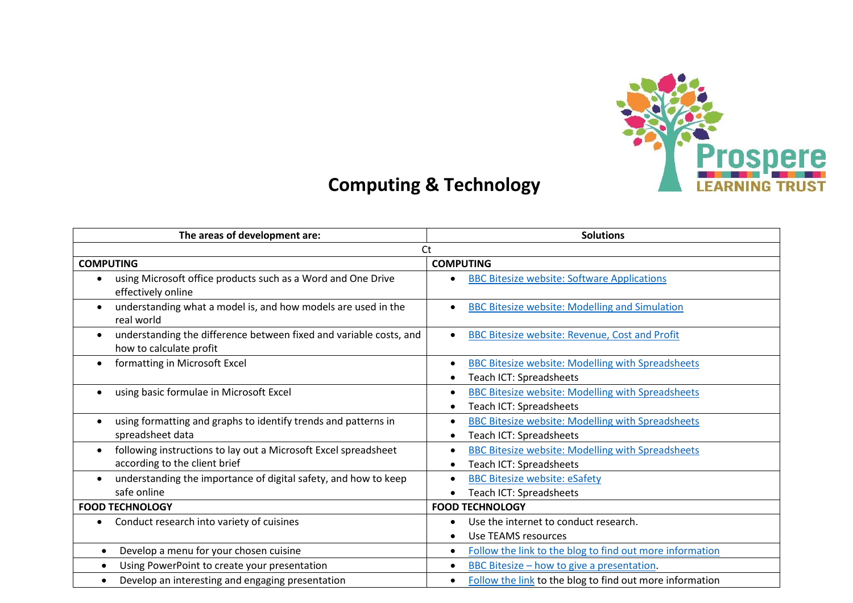

## **Computing & Technology**

| The areas of development are:                                                  | <b>Solutions</b>                                                                    |
|--------------------------------------------------------------------------------|-------------------------------------------------------------------------------------|
| Ct                                                                             |                                                                                     |
| <b>COMPUTING</b>                                                               | <b>COMPUTING</b>                                                                    |
| using Microsoft office products such as a Word and One Drive                   | <b>BBC Bitesize website: Software Applications</b>                                  |
| effectively online                                                             | $\bullet$                                                                           |
| understanding what a model is, and how models are used in the                  | <b>BBC Bitesize website: Modelling and Simulation</b>                               |
| real world                                                                     | $\bullet$                                                                           |
| understanding the difference between fixed and variable costs, and             | <b>BBC Bitesize website: Revenue, Cost and Profit</b>                               |
| how to calculate profit                                                        | $\bullet$                                                                           |
| formatting in Microsoft Excel                                                  | <b>BBC Bitesize website: Modelling with Spreadsheets</b><br>Teach ICT: Spreadsheets |
| using basic formulae in Microsoft Excel                                        | <b>BBC Bitesize website: Modelling with Spreadsheets</b>                            |
| $\bullet$                                                                      | Teach ICT: Spreadsheets                                                             |
| using formatting and graphs to identify trends and patterns in                 | <b>BBC Bitesize website: Modelling with Spreadsheets</b>                            |
| spreadsheet data                                                               | Teach ICT: Spreadsheets                                                             |
| following instructions to lay out a Microsoft Excel spreadsheet                | <b>BBC Bitesize website: Modelling with Spreadsheets</b>                            |
| according to the client brief                                                  | Teach ICT: Spreadsheets                                                             |
| understanding the importance of digital safety, and how to keep<br>safe online | <b>BBC Bitesize website: eSafety</b><br>$\bullet$<br>Teach ICT: Spreadsheets        |
| <b>FOOD TECHNOLOGY</b>                                                         | <b>FOOD TECHNOLOGY</b>                                                              |
| Conduct research into variety of cuisines                                      | Use the internet to conduct research.<br><b>Use TEAMS resources</b>                 |
| Develop a menu for your chosen cuisine                                         | Follow the link to the blog to find out more information                            |
| $\bullet$                                                                      | $\bullet$                                                                           |
| Using PowerPoint to create your presentation                                   | BBC Bitesize – how to give a presentation.                                          |
| $\bullet$                                                                      | $\bullet$                                                                           |
| Develop an interesting and engaging presentation                               | Follow the link to the blog to find out more information                            |
| $\bullet$                                                                      | $\bullet$                                                                           |